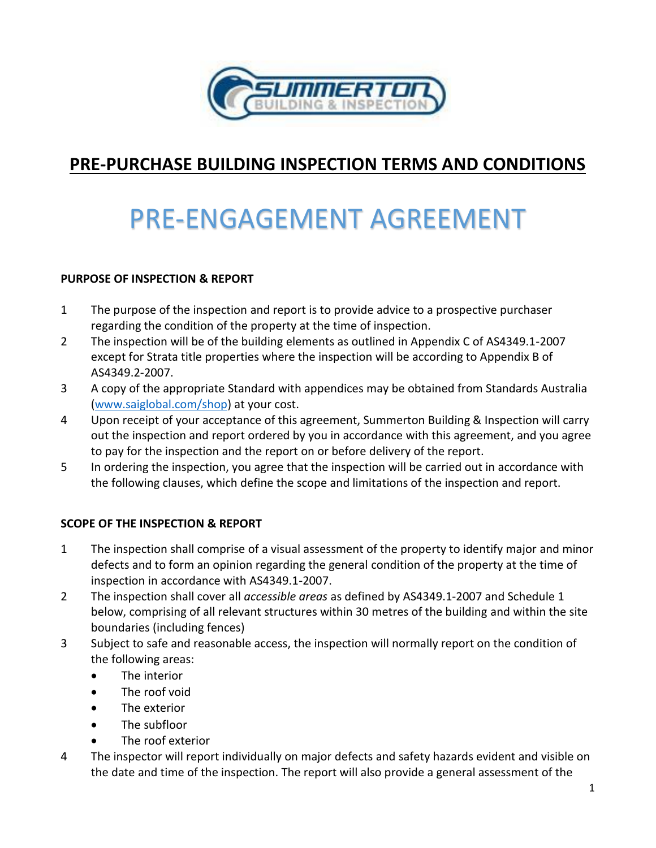

# **PRE-PURCHASE BUILDING INSPECTION TERMS AND CONDITIONS**

# PRE-ENGAGEMENT AGREEMENT

### **PURPOSE OF INSPECTION & REPORT**

- 1 The purpose of the inspection and report is to provide advice to a prospective purchaser regarding the condition of the property at the time of inspection.
- 2 The inspection will be of the building elements as outlined in Appendix C of AS4349.1-2007 except for Strata title properties where the inspection will be according to Appendix B of AS4349.2-2007.
- 3 A copy of the appropriate Standard with appendices may be obtained from Standards Australia [\(www.saiglobal.com/shop\)](http://www.saiglobal.com/shop) at your cost.
- 4 Upon receipt of your acceptance of this agreement, Summerton Building & Inspection will carry out the inspection and report ordered by you in accordance with this agreement, and you agree to pay for the inspection and the report on or before delivery of the report.
- 5 In ordering the inspection, you agree that the inspection will be carried out in accordance with the following clauses, which define the scope and limitations of the inspection and report.

### **SCOPE OF THE INSPECTION & REPORT**

- 1 The inspection shall comprise of a visual assessment of the property to identify major and minor defects and to form an opinion regarding the general condition of the property at the time of inspection in accordance with AS4349.1-2007.
- 2 The inspection shall cover all *accessible areas* as defined by AS4349.1-2007 and Schedule 1 below, comprising of all relevant structures within 30 metres of the building and within the site boundaries (including fences)
- 3 Subject to safe and reasonable access, the inspection will normally report on the condition of the following areas:
	- The interior
	- The roof void
	- The exterior
	- The subfloor
	- The roof exterior
- 4 The inspector will report individually on major defects and safety hazards evident and visible on the date and time of the inspection. The report will also provide a general assessment of the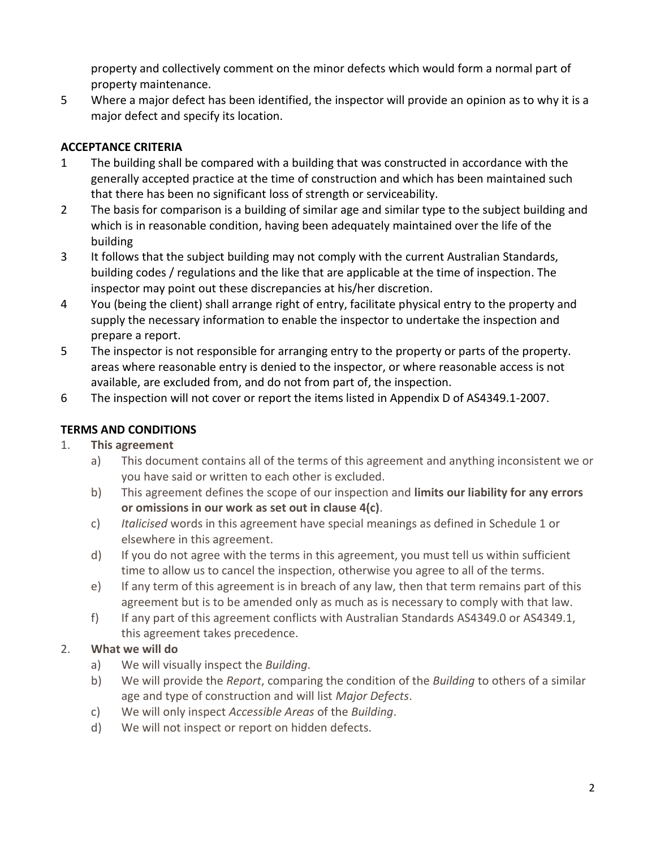property and collectively comment on the minor defects which would form a normal part of property maintenance.

5 Where a major defect has been identified, the inspector will provide an opinion as to why it is a major defect and specify its location.

# **ACCEPTANCE CRITERIA**

- 1 The building shall be compared with a building that was constructed in accordance with the generally accepted practice at the time of construction and which has been maintained such that there has been no significant loss of strength or serviceability.
- 2 The basis for comparison is a building of similar age and similar type to the subject building and which is in reasonable condition, having been adequately maintained over the life of the building
- 3 It follows that the subject building may not comply with the current Australian Standards, building codes / regulations and the like that are applicable at the time of inspection. The inspector may point out these discrepancies at his/her discretion.
- 4 You (being the client) shall arrange right of entry, facilitate physical entry to the property and supply the necessary information to enable the inspector to undertake the inspection and prepare a report.
- 5 The inspector is not responsible for arranging entry to the property or parts of the property. areas where reasonable entry is denied to the inspector, or where reasonable access is not available, are excluded from, and do not from part of, the inspection.
- 6 The inspection will not cover or report the items listed in Appendix D of AS4349.1-2007.

# **TERMS AND CONDITIONS**

# 1. **This agreement**

- a) This document contains all of the terms of this agreement and anything inconsistent we or you have said or written to each other is excluded.
- b) This agreement defines the scope of our inspection and **limits our liability for any errors or omissions in our work as set out in clause 4(c)**.
- c) *Italicised* words in this agreement have special meanings as defined in Schedule 1 or elsewhere in this agreement.
- d) If you do not agree with the terms in this agreement, you must tell us within sufficient time to allow us to cancel the inspection, otherwise you agree to all of the terms.
- e) If any term of this agreement is in breach of any law, then that term remains part of this agreement but is to be amended only as much as is necessary to comply with that law.
- f) If any part of this agreement conflicts with Australian Standards AS4349.0 or AS4349.1, this agreement takes precedence.

# 2. **What we will do**

- a) We will visually inspect the *Building*.
- b) We will provide the *Report*, comparing the condition of the *Building* to others of a similar age and type of construction and will list *Major Defects*.
- c) We will only inspect *Accessible Areas* of the *Building*.
- d) We will not inspect or report on hidden defects.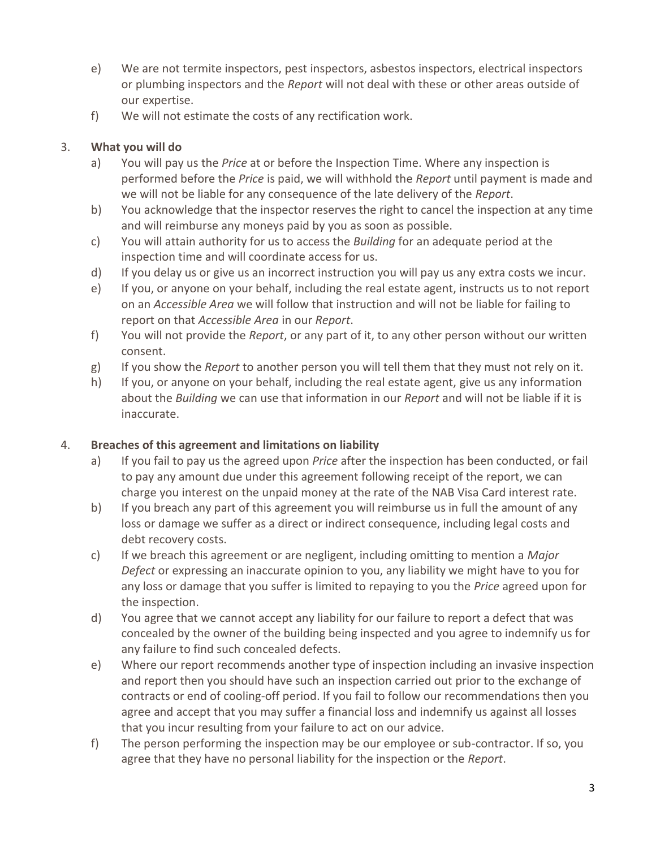- e) We are not termite inspectors, pest inspectors, asbestos inspectors, electrical inspectors or plumbing inspectors and the *Report* will not deal with these or other areas outside of our expertise.
- f) We will not estimate the costs of any rectification work.

# 3. **What you will do**

- a) You will pay us the *Price* at or before the Inspection Time. Where any inspection is performed before the *Price* is paid, we will withhold the *Report* until payment is made and we will not be liable for any consequence of the late delivery of the *Report*.
- b) You acknowledge that the inspector reserves the right to cancel the inspection at any time and will reimburse any moneys paid by you as soon as possible.
- c) You will attain authority for us to access the *Building* for an adequate period at the inspection time and will coordinate access for us.
- d) If you delay us or give us an incorrect instruction you will pay us any extra costs we incur.
- e) If you, or anyone on your behalf, including the real estate agent, instructs us to not report on an *Accessible Area* we will follow that instruction and will not be liable for failing to report on that *Accessible Area* in our *Report*.
- f) You will not provide the *Report*, or any part of it, to any other person without our written consent.
- g) If you show the *Report* to another person you will tell them that they must not rely on it.
- h) If you, or anyone on your behalf, including the real estate agent, give us any information about the *Building* we can use that information in our *Report* and will not be liable if it is inaccurate.

# 4. **Breaches of this agreement and limitations on liability**

- a) If you fail to pay us the agreed upon *Price* after the inspection has been conducted, or fail to pay any amount due under this agreement following receipt of the report, we can charge you interest on the unpaid money at the rate of the NAB Visa Card interest rate.
- b) If you breach any part of this agreement you will reimburse us in full the amount of any loss or damage we suffer as a direct or indirect consequence, including legal costs and debt recovery costs.
- c) If we breach this agreement or are negligent, including omitting to mention a *Major Defect* or expressing an inaccurate opinion to you, any liability we might have to you for any loss or damage that you suffer is limited to repaying to you the *Price* agreed upon for the inspection.
- d) You agree that we cannot accept any liability for our failure to report a defect that was concealed by the owner of the building being inspected and you agree to indemnify us for any failure to find such concealed defects.
- e) Where our report recommends another type of inspection including an invasive inspection and report then you should have such an inspection carried out prior to the exchange of contracts or end of cooling‐off period. If you fail to follow our recommendations then you agree and accept that you may suffer a financial loss and indemnify us against all losses that you incur resulting from your failure to act on our advice.
- f) The person performing the inspection may be our employee or sub-contractor. If so, you agree that they have no personal liability for the inspection or the *Report*.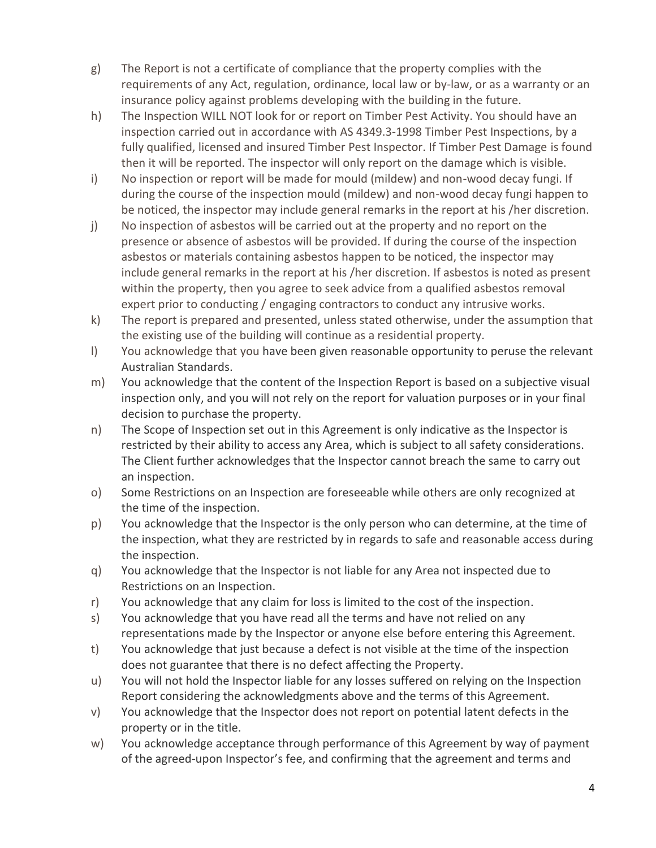- g) The Report is not a certificate of compliance that the property complies with the requirements of any Act, regulation, ordinance, local law or by‐law, or as a warranty or an insurance policy against problems developing with the building in the future.
- h) The Inspection WILL NOT look for or report on Timber Pest Activity. You should have an inspection carried out in accordance with AS 4349.3‐1998 Timber Pest Inspections, by a fully qualified, licensed and insured Timber Pest Inspector. If Timber Pest Damage is found then it will be reported. The inspector will only report on the damage which is visible.
- i) No inspection or report will be made for mould (mildew) and non-wood decay fungi. If during the course of the inspection mould (mildew) and non-wood decay fungi happen to be noticed, the inspector may include general remarks in the report at his /her discretion.
- j) No inspection of asbestos will be carried out at the property and no report on the presence or absence of asbestos will be provided. If during the course of the inspection asbestos or materials containing asbestos happen to be noticed, the inspector may include general remarks in the report at his /her discretion. If asbestos is noted as present within the property, then you agree to seek advice from a qualified asbestos removal expert prior to conducting / engaging contractors to conduct any intrusive works.
- k) The report is prepared and presented, unless stated otherwise, under the assumption that the existing use of the building will continue as a residential property.
- l) You acknowledge that you have been given reasonable opportunity to peruse the relevant Australian Standards.
- m) You acknowledge that the content of the Inspection Report is based on a subjective visual inspection only, and you will not rely on the report for valuation purposes or in your final decision to purchase the property.
- n) The Scope of Inspection set out in this Agreement is only indicative as the Inspector is restricted by their ability to access any Area, which is subject to all safety considerations. The Client further acknowledges that the Inspector cannot breach the same to carry out an inspection.
- o) Some Restrictions on an Inspection are foreseeable while others are only recognized at the time of the inspection.
- p) You acknowledge that the Inspector is the only person who can determine, at the time of the inspection, what they are restricted by in regards to safe and reasonable access during the inspection.
- q) You acknowledge that the Inspector is not liable for any Area not inspected due to Restrictions on an Inspection.
- r) You acknowledge that any claim for loss is limited to the cost of the inspection.
- s) You acknowledge that you have read all the terms and have not relied on any representations made by the Inspector or anyone else before entering this Agreement.
- t) You acknowledge that just because a defect is not visible at the time of the inspection does not guarantee that there is no defect affecting the Property.
- u) You will not hold the Inspector liable for any losses suffered on relying on the Inspection Report considering the acknowledgments above and the terms of this Agreement.
- v) You acknowledge that the Inspector does not report on potential latent defects in the property or in the title.
- w) You acknowledge acceptance through performance of this Agreement by way of payment of the agreed-upon Inspector's fee, and confirming that the agreement and terms and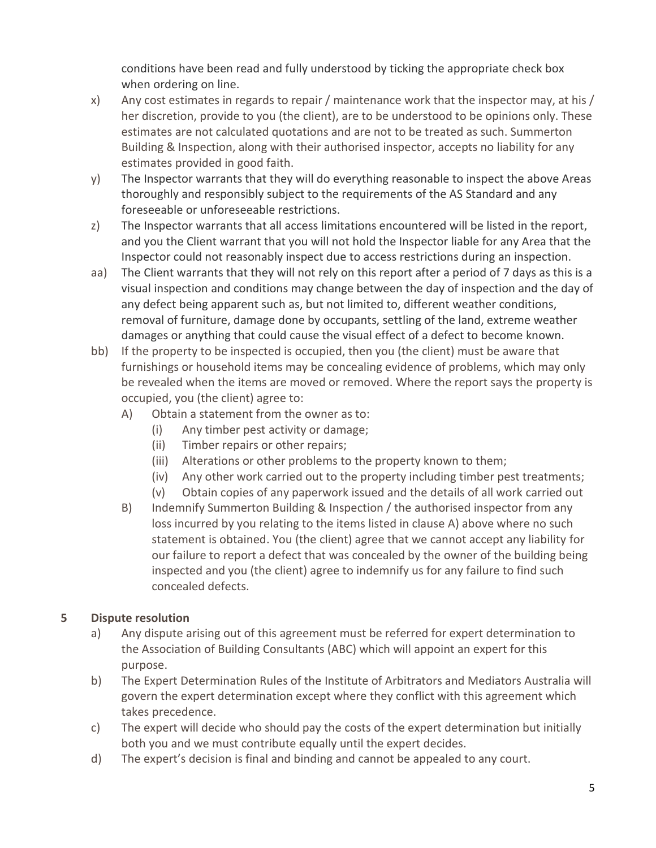conditions have been read and fully understood by ticking the appropriate check box when ordering on line.

- x) Any cost estimates in regards to repair / maintenance work that the inspector may, at his / her discretion, provide to you (the client), are to be understood to be opinions only. These estimates are not calculated quotations and are not to be treated as such. Summerton Building & Inspection, along with their authorised inspector, accepts no liability for any estimates provided in good faith.
- y) The Inspector warrants that they will do everything reasonable to inspect the above Areas thoroughly and responsibly subject to the requirements of the AS Standard and any foreseeable or unforeseeable restrictions.
- z) The Inspector warrants that all access limitations encountered will be listed in the report, and you the Client warrant that you will not hold the Inspector liable for any Area that the Inspector could not reasonably inspect due to access restrictions during an inspection.
- aa) The Client warrants that they will not rely on this report after a period of 7 days as this is a visual inspection and conditions may change between the day of inspection and the day of any defect being apparent such as, but not limited to, different weather conditions, removal of furniture, damage done by occupants, settling of the land, extreme weather damages or anything that could cause the visual effect of a defect to become known.
- bb) If the property to be inspected is occupied, then you (the client) must be aware that furnishings or household items may be concealing evidence of problems, which may only be revealed when the items are moved or removed. Where the report says the property is occupied, you (the client) agree to:
	- A) Obtain a statement from the owner as to:
		- (i) Any timber pest activity or damage;
		- (ii) Timber repairs or other repairs;
		- (iii) Alterations or other problems to the property known to them;
		- (iv) Any other work carried out to the property including timber pest treatments;
		- (v) Obtain copies of any paperwork issued and the details of all work carried out
	- B) Indemnify Summerton Building & Inspection / the authorised inspector from any loss incurred by you relating to the items listed in clause A) above where no such statement is obtained. You (the client) agree that we cannot accept any liability for our failure to report a defect that was concealed by the owner of the building being inspected and you (the client) agree to indemnify us for any failure to find such concealed defects.

# **5 Dispute resolution**

- a) Any dispute arising out of this agreement must be referred for expert determination to the Association of Building Consultants (ABC) which will appoint an expert for this purpose.
- b) The Expert Determination Rules of the Institute of Arbitrators and Mediators Australia will govern the expert determination except where they conflict with this agreement which takes precedence.
- c) The expert will decide who should pay the costs of the expert determination but initially both you and we must contribute equally until the expert decides.
- d) The expert's decision is final and binding and cannot be appealed to any court.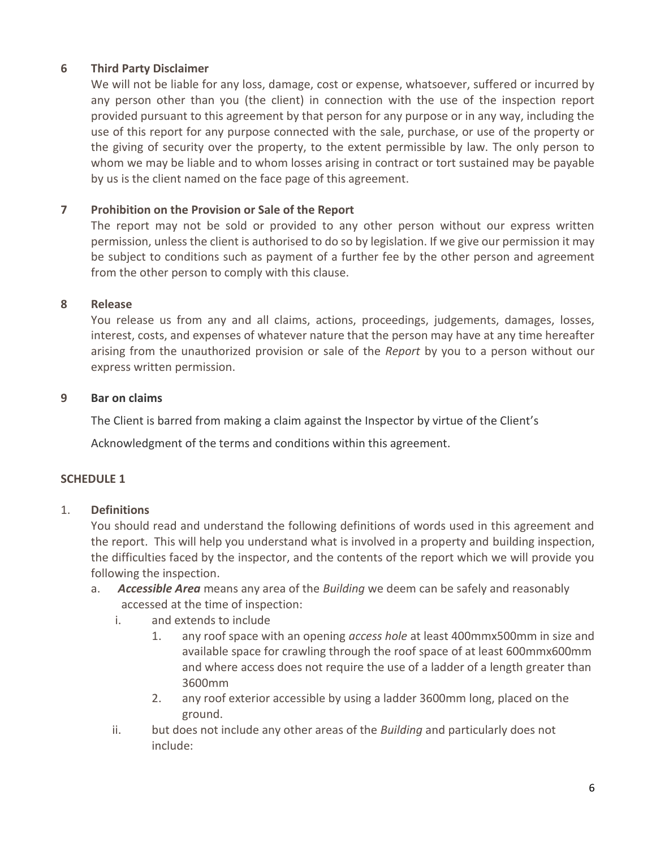### **6 Third Party Disclaimer**

We will not be liable for any loss, damage, cost or expense, whatsoever, suffered or incurred by any person other than you (the client) in connection with the use of the inspection report provided pursuant to this agreement by that person for any purpose or in any way, including the use of this report for any purpose connected with the sale, purchase, or use of the property or the giving of security over the property, to the extent permissible by law. The only person to whom we may be liable and to whom losses arising in contract or tort sustained may be payable by us is the client named on the face page of this agreement.

### **7 Prohibition on the Provision or Sale of the Report**

The report may not be sold or provided to any other person without our express written permission, unless the client is authorised to do so by legislation. If we give our permission it may be subject to conditions such as payment of a further fee by the other person and agreement from the other person to comply with this clause.

#### **8 Release**

You release us from any and all claims, actions, proceedings, judgements, damages, losses, interest, costs, and expenses of whatever nature that the person may have at any time hereafter arising from the unauthorized provision or sale of the *Report* by you to a person without our express written permission.

#### **9 Bar on claims**

The Client is barred from making a claim against the Inspector by virtue of the Client's

Acknowledgment of the terms and conditions within this agreement.

### **SCHEDULE 1**

#### 1. **Definitions**

You should read and understand the following definitions of words used in this agreement and the report. This will help you understand what is involved in a property and building inspection, the difficulties faced by the inspector, and the contents of the report which we will provide you following the inspection.

- a. *Accessible Area* means any area of the *Building* we deem can be safely and reasonably accessed at the time of inspection:
	- i. and extends to include
		- 1. any roof space with an opening *access hole* at least 400mmx500mm in size and available space for crawling through the roof space of at least 600mmx600mm and where access does not require the use of a ladder of a length greater than 3600mm
		- 2. any roof exterior accessible by using a ladder 3600mm long, placed on the ground.
	- ii. but does not include any other areas of the *Building* and particularly does not include: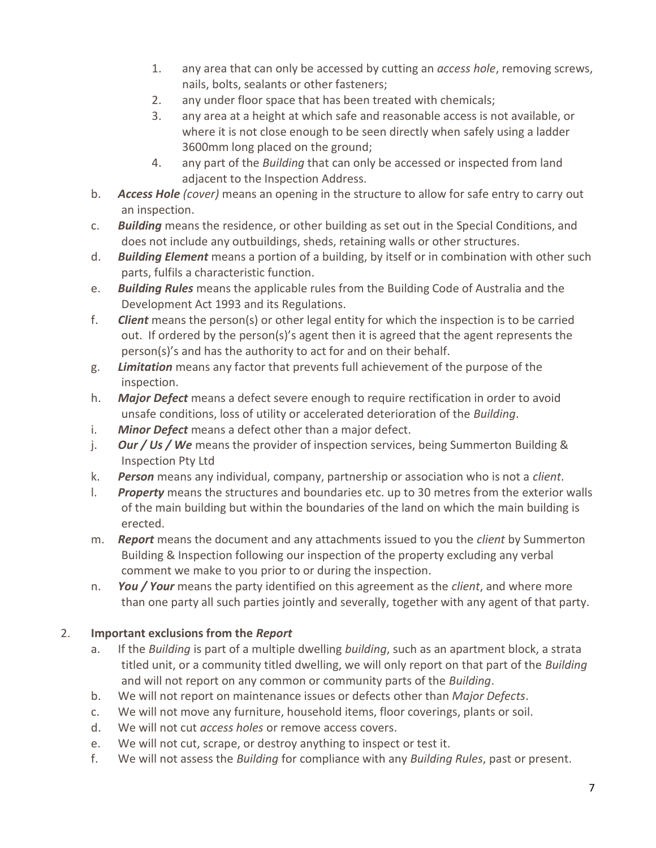- 1. any area that can only be accessed by cutting an *access hole*, removing screws, nails, bolts, sealants or other fasteners;
- 2. any under floor space that has been treated with chemicals;
- 3. any area at a height at which safe and reasonable access is not available, or where it is not close enough to be seen directly when safely using a ladder 3600mm long placed on the ground;
- 4. any part of the *Building* that can only be accessed or inspected from land adjacent to the Inspection Address.
- b. *Access Hole (cover)* means an opening in the structure to allow for safe entry to carry out an inspection.
- c. *Building* means the residence, or other building as set out in the Special Conditions, and does not include any outbuildings, sheds, retaining walls or other structures.
- d. *Building Element* means a portion of a building, by itself or in combination with other such parts, fulfils a characteristic function.
- e. *Building Rules* means the applicable rules from the Building Code of Australia and the Development Act 1993 and its Regulations.
- f. *Client* means the person(s) or other legal entity for which the inspection is to be carried out. If ordered by the person(s)'s agent then it is agreed that the agent represents the person(s)'s and has the authority to act for and on their behalf.
- g. *Limitation* means any factor that prevents full achievement of the purpose of the inspection.
- h. *Major Defect* means a defect severe enough to require rectification in order to avoid unsafe conditions, loss of utility or accelerated deterioration of the *Building*.
- i. *Minor Defect* means a defect other than a major defect.
- j. *Our / Us / We* means the provider of inspection services, being Summerton Building & Inspection Pty Ltd
- k. *Person* means any individual, company, partnership or association who is not a *client*.
- l. *Property* means the structures and boundaries etc. up to 30 metres from the exterior walls of the main building but within the boundaries of the land on which the main building is erected.
- m. *Report* means the document and any attachments issued to you the *client* by Summerton Building & Inspection following our inspection of the property excluding any verbal comment we make to you prior to or during the inspection.
- n. *You / Your* means the party identified on this agreement as the *client*, and where more than one party all such parties jointly and severally, together with any agent of that party.

# 2. **Important exclusions from the** *Report*

- a. If the *Building* is part of a multiple dwelling *building*, such as an apartment block, a strata titled unit, or a community titled dwelling, we will only report on that part of the *Building* and will not report on any common or community parts of the *Building*.
- b. We will not report on maintenance issues or defects other than *Major Defects*.
- c. We will not move any furniture, household items, floor coverings, plants or soil.
- d. We will not cut *access holes* or remove access covers.
- e. We will not cut, scrape, or destroy anything to inspect or test it.
- f. We will not assess the *Building* for compliance with any *Building Rules*, past or present.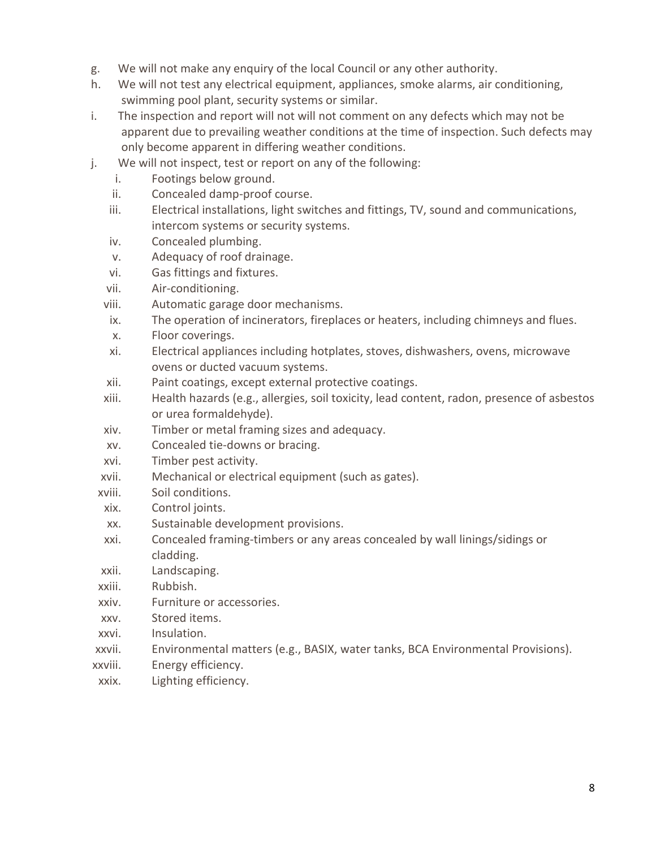- g. We will not make any enquiry of the local Council or any other authority.
- h. We will not test any electrical equipment, appliances, smoke alarms, air conditioning, swimming pool plant, security systems or similar.
- i. The inspection and report will not will not comment on any defects which may not be apparent due to prevailing weather conditions at the time of inspection. Such defects may only become apparent in differing weather conditions.
- j. We will not inspect, test or report on any of the following:
	- i. Footings below ground.
	- ii. Concealed damp-proof course.
	- iii. Electrical installations, light switches and fittings, TV, sound and communications, intercom systems or security systems.
	- iv. Concealed plumbing.
	- v. Adequacy of roof drainage.
	- vi. Gas fittings and fixtures.
	- vii. Air-conditioning.
	- viii. Automatic garage door mechanisms.
	- ix. The operation of incinerators, fireplaces or heaters, including chimneys and flues.
	- x. Floor coverings.
	- xi. Electrical appliances including hotplates, stoves, dishwashers, ovens, microwave ovens or ducted vacuum systems.
	- xii. Paint coatings, except external protective coatings.
	- xiii. Health hazards (e.g., allergies, soil toxicity, lead content, radon, presence of asbestos or urea formaldehyde).
	- xiv. Timber or metal framing sizes and adequacy.
	- xv. Concealed tie-downs or bracing.
	- xvi. Timber pest activity.
	- xvii. Mechanical or electrical equipment (such as gates).
	- xviii. Soil conditions.
	- xix. Control joints.
	- xx. Sustainable development provisions.
	- xxi. Concealed framing-timbers or any areas concealed by wall linings/sidings or cladding.
	- xxii. Landscaping.
	- xxiii. Rubbish.
	- xxiv. Furniture or accessories.
	- xxv. Stored items.
	- xxvi. Insulation.
- xxvii. Environmental matters (e.g., BASIX, water tanks, BCA Environmental Provisions).
- xxviii. Energy efficiency.
- xxix. Lighting efficiency.